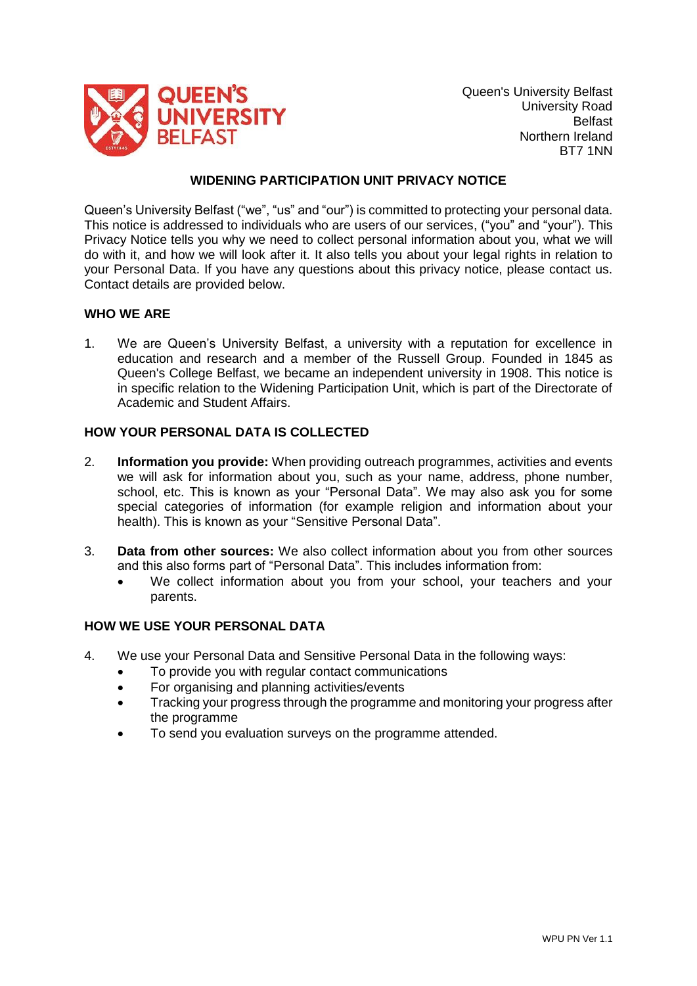

Queen's University Belfast University Road Belfast Northern Ireland BT7 1NN

## **WIDENING PARTICIPATION UNIT PRIVACY NOTICE**

Queen's University Belfast ("we", "us" and "our") is committed to protecting your personal data. This notice is addressed to individuals who are users of our services, ("you" and "your"). This Privacy Notice tells you why we need to collect personal information about you, what we will do with it, and how we will look after it. It also tells you about your legal rights in relation to your Personal Data. If you have any questions about this privacy notice, please contact us. Contact details are provided below.

## **WHO WE ARE**

1. We are Queen's University Belfast, a university with a reputation for excellence in education and research and a member of the Russell Group. Founded in 1845 as Queen's College Belfast, we became an independent university in 1908. This notice is in specific relation to the Widening Participation Unit, which is part of the Directorate of Academic and Student Affairs.

## **HOW YOUR PERSONAL DATA IS COLLECTED**

- 2. **Information you provide:** When providing outreach programmes, activities and events we will ask for information about you, such as your name, address, phone number, school, etc. This is known as your "Personal Data". We may also ask you for some special categories of information (for example religion and information about your health). This is known as your "Sensitive Personal Data".
- 3. **Data from other sources:** We also collect information about you from other sources and this also forms part of "Personal Data". This includes information from:
	- We collect information about you from your school, your teachers and your parents.

## **HOW WE USE YOUR PERSONAL DATA**

- 4. We use your Personal Data and Sensitive Personal Data in the following ways:
	- To provide you with regular contact communications
	- For organising and planning activities/events
	- Tracking your progress through the programme and monitoring your progress after the programme
	- To send you evaluation surveys on the programme attended.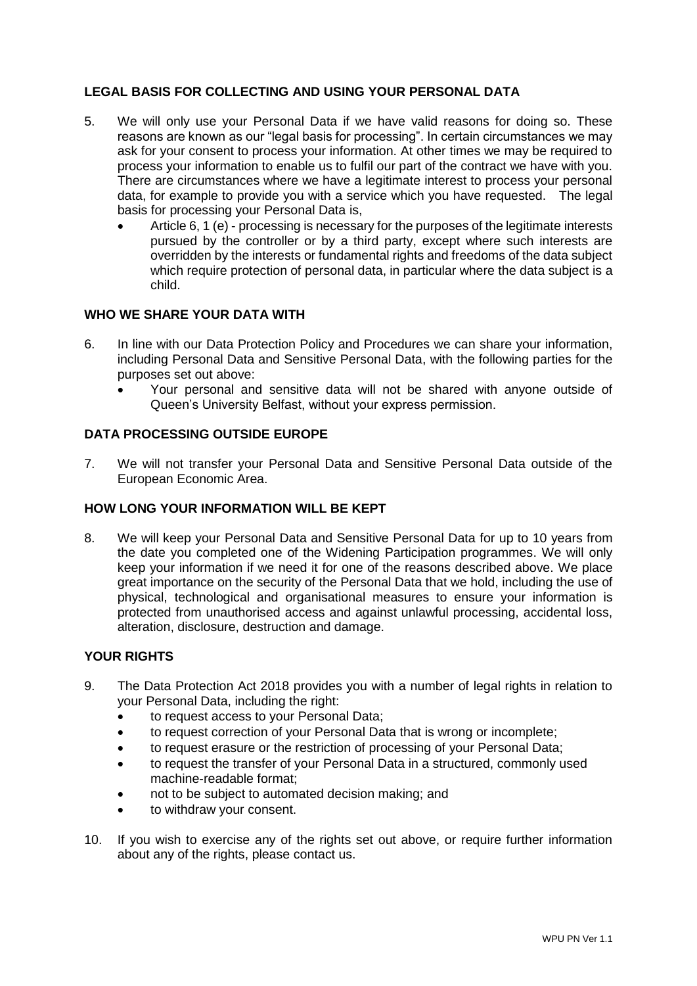# **LEGAL BASIS FOR COLLECTING AND USING YOUR PERSONAL DATA**

- 5. We will only use your Personal Data if we have valid reasons for doing so. These reasons are known as our "legal basis for processing". In certain circumstances we may ask for your consent to process your information. At other times we may be required to process your information to enable us to fulfil our part of the contract we have with you. There are circumstances where we have a legitimate interest to process your personal data, for example to provide you with a service which you have requested. The legal basis for processing your Personal Data is,
	- Article 6, 1 (e) processing is necessary for the purposes of the legitimate interests pursued by the controller or by a third party, except where such interests are overridden by the interests or fundamental rights and freedoms of the data subject which require protection of personal data, in particular where the data subject is a child.

# **WHO WE SHARE YOUR DATA WITH**

- 6. In line with our Data Protection Policy and Procedures we can share your information, including Personal Data and Sensitive Personal Data, with the following parties for the purposes set out above:
	- Your personal and sensitive data will not be shared with anyone outside of Queen's University Belfast, without your express permission.

### **DATA PROCESSING OUTSIDE EUROPE**

7. We will not transfer your Personal Data and Sensitive Personal Data outside of the European Economic Area.

#### **HOW LONG YOUR INFORMATION WILL BE KEPT**

8. We will keep your Personal Data and Sensitive Personal Data for up to 10 years from the date you completed one of the Widening Participation programmes. We will only keep your information if we need it for one of the reasons described above. We place great importance on the security of the Personal Data that we hold, including the use of physical, technological and organisational measures to ensure your information is protected from unauthorised access and against unlawful processing, accidental loss, alteration, disclosure, destruction and damage.

## **YOUR RIGHTS**

- 9. The Data Protection Act 2018 provides you with a number of legal rights in relation to your Personal Data, including the right:
	- to request access to your Personal Data;
	- to request correction of your Personal Data that is wrong or incomplete;
	- to request erasure or the restriction of processing of your Personal Data;
	- to request the transfer of your Personal Data in a structured, commonly used machine-readable format;
	- not to be subject to automated decision making; and
	- to withdraw your consent.
- 10. If you wish to exercise any of the rights set out above, or require further information about any of the rights, please contact us.